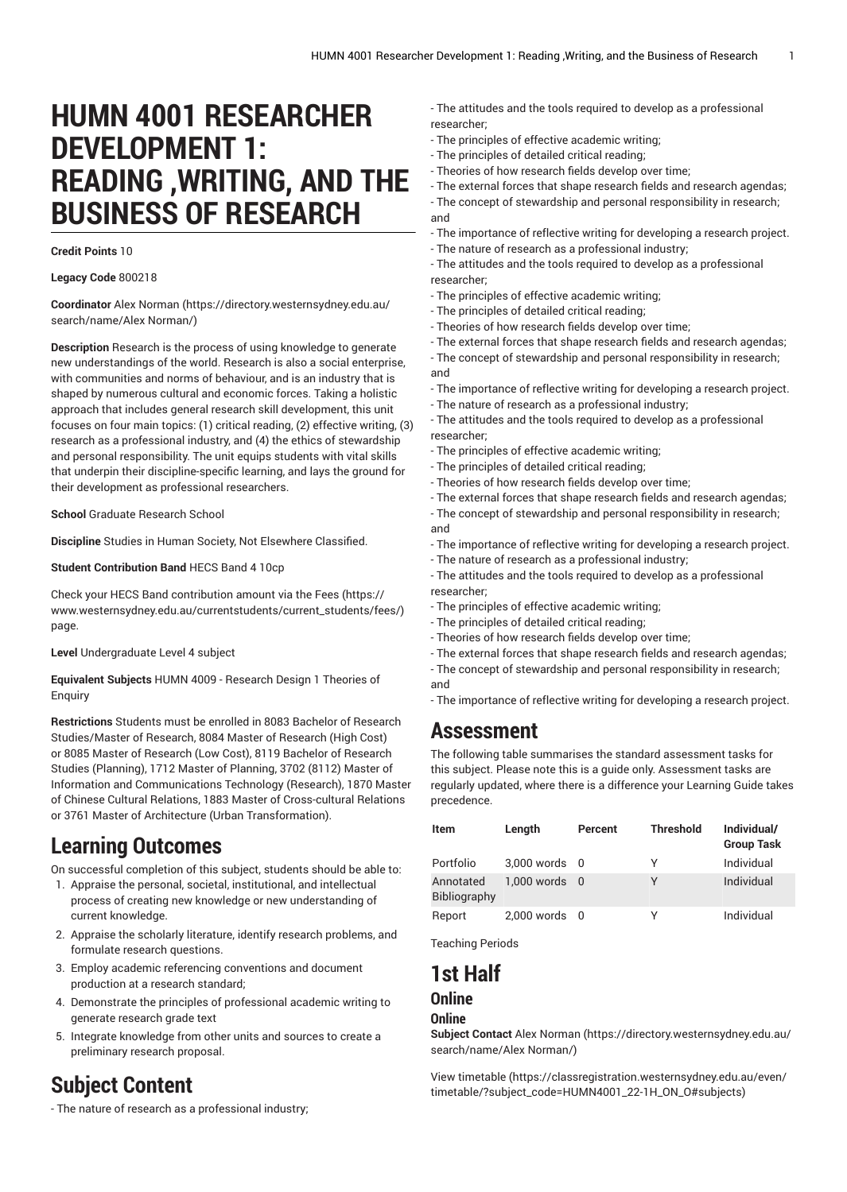# **HUMN 4001 RESEARCHER DEVELOPMENT 1: READING ,WRITING, AND THE BUSINESS OF RESEARCH**

#### **Credit Points** 10

**Legacy Code** 800218

**Coordinator** [Alex Norman \(https://directory.westernsydney.edu.au/](https://directory.westernsydney.edu.au/search/name/Alex Norman/) [search/name/Alex](https://directory.westernsydney.edu.au/search/name/Alex Norman/) Norman/)

**Description** Research is the process of using knowledge to generate new understandings of the world. Research is also a social enterprise, with communities and norms of behaviour, and is an industry that is shaped by numerous cultural and economic forces. Taking a holistic approach that includes general research skill development, this unit focuses on four main topics: (1) critical reading, (2) effective writing, (3) research as a professional industry, and (4) the ethics of stewardship and personal responsibility. The unit equips students with vital skills that underpin their discipline-specific learning, and lays the ground for their development as professional researchers.

**School** Graduate Research School

**Discipline** Studies in Human Society, Not Elsewhere Classified.

**Student Contribution Band** HECS Band 4 10cp

Check your HECS Band contribution amount via the [Fees \(https://](https://www.westernsydney.edu.au/currentstudents/current_students/fees/) [www.westernsydney.edu.au/currentstudents/current\\_students/fees/\)](https://www.westernsydney.edu.au/currentstudents/current_students/fees/) page.

**Level** Undergraduate Level 4 subject

**Equivalent Subjects** HUMN 4009 - Research Design 1 Theories of Enquiry

**Restrictions** Students must be enrolled in 8083 Bachelor of Research Studies/Master of Research, 8084 Master of Research (High Cost) or 8085 Master of Research (Low Cost), 8119 Bachelor of Research Studies (Planning), 1712 Master of Planning, 3702 (8112) Master of Information and Communications Technology (Research), 1870 Master of Chinese Cultural Relations, 1883 Master of Cross-cultural Relations or 3761 Master of Architecture (Urban Transformation).

# **Learning Outcomes**

On successful completion of this subject, students should be able to:

- 1. Appraise the personal, societal, institutional, and intellectual process of creating new knowledge or new understanding of current knowledge.
- 2. Appraise the scholarly literature, identify research problems, and formulate research questions.
- 3. Employ academic referencing conventions and document production at a research standard;
- 4. Demonstrate the principles of professional academic writing to generate research grade text
- 5. Integrate knowledge from other units and sources to create a preliminary research proposal.

# **Subject Content**

- The nature of research as a professional industry;

- The attitudes and the tools required to develop as a professional researcher;
- The principles of effective academic writing;
- The principles of detailed critical reading;
- Theories of how research fields develop over time;
- The external forces that shape research fields and research agendas;
- The concept of stewardship and personal responsibility in research; and
- The importance of reflective writing for developing a research project.
- The nature of research as a professional industry;
- The attitudes and the tools required to develop as a professional researcher;
- The principles of effective academic writing;
- The principles of detailed critical reading;
- Theories of how research fields develop over time;
- The external forces that shape research fields and research agendas;
- The concept of stewardship and personal responsibility in research; and
- The importance of reflective writing for developing a research project.
- The nature of research as a professional industry;
- The attitudes and the tools required to develop as a professional researcher;
- The principles of effective academic writing;
- The principles of detailed critical reading;
- Theories of how research fields develop over time;
- The external forces that shape research fields and research agendas;
- The concept of stewardship and personal responsibility in research; and
- The importance of reflective writing for developing a research project.
- The nature of research as a professional industry;
- The attitudes and the tools required to develop as a professional researcher;
- The principles of effective academic writing;
- The principles of detailed critical reading;
- Theories of how research fields develop over time;
- The external forces that shape research fields and research agendas;
- The concept of stewardship and personal responsibility in research; and
- The importance of reflective writing for developing a research project.

# **Assessment**

The following table summarises the standard assessment tasks for this subject. Please note this is a guide only. Assessment tasks are regularly updated, where there is a difference your Learning Guide takes precedence.

| Item                      | Length            | Percent | <b>Threshold</b> | Individual/<br><b>Group Task</b> |
|---------------------------|-------------------|---------|------------------|----------------------------------|
| Portfolio                 | 3,000 words 0     |         | γ                | Individual                       |
| Annotated<br>Bibliography | $1.000$ words $0$ |         | Υ                | Individual                       |
| Report                    | 2,000 words 0     |         | v                | Individual                       |

Teaching Periods

## **1st Half Online**

### **Online**

**Subject Contact** [Alex Norman](https://directory.westernsydney.edu.au/search/name/Alex Norman/) ([https://directory.westernsydney.edu.au/](https://directory.westernsydney.edu.au/search/name/Alex Norman/) [search/name/Alex](https://directory.westernsydney.edu.au/search/name/Alex Norman/) Norman/)

[View timetable](https://classregistration.westernsydney.edu.au/even/timetable/?subject_code=HUMN4001_22-1H_ON_O#subjects) [\(https://classregistration.westernsydney.edu.au/even/](https://classregistration.westernsydney.edu.au/even/timetable/?subject_code=HUMN4001_22-1H_ON_O#subjects) [timetable/?subject\\_code=HUMN4001\\_22-1H\\_ON\\_O#subjects\)](https://classregistration.westernsydney.edu.au/even/timetable/?subject_code=HUMN4001_22-1H_ON_O#subjects)